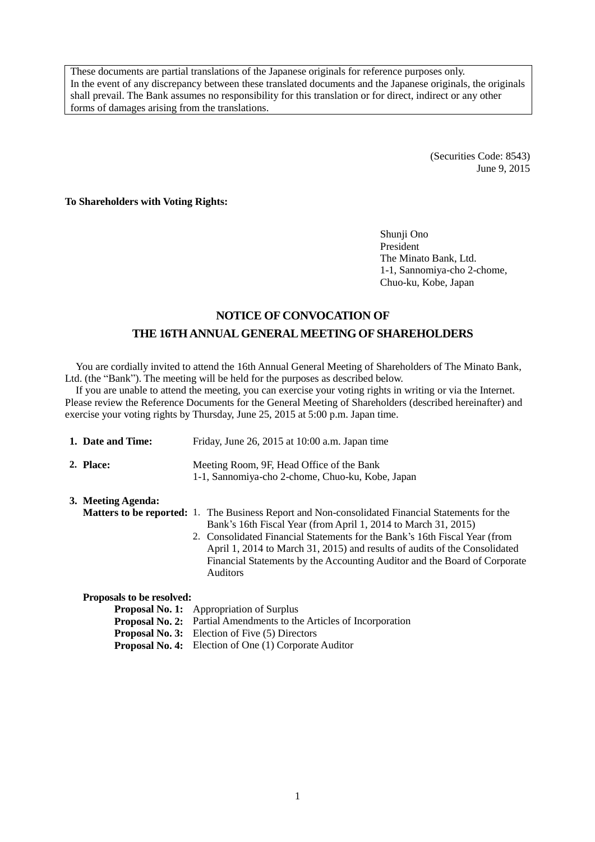These documents are partial translations of the Japanese originals for reference purposes only. In the event of any discrepancy between these translated documents and the Japanese originals, the originals shall prevail. The Bank assumes no responsibility for this translation or for direct, indirect or any other forms of damages arising from the translations.

> (Securities Code: 8543) June 9, 2015

**To Shareholders with Voting Rights:**

Shunji Ono President The Minato Bank, Ltd. 1-1, Sannomiya-cho 2-chome, Chuo-ku, Kobe, Japan

## **NOTICE OF CONVOCATION OF THE 16THANNUAL GENERAL MEETING OF SHAREHOLDERS**

You are cordially invited to attend the 16th Annual General Meeting of Shareholders of The Minato Bank, Ltd. (the "Bank"). The meeting will be held for the purposes as described below.

If you are unable to attend the meeting, you can exercise your voting rights in writing or via the Internet. Please review the Reference Documents for the General Meeting of Shareholders (described hereinafter) and exercise your voting rights by Thursday, June 25, 2015 at 5:00 p.m. Japan time.

| 1. Date and Time:         | Friday, June 26, 2015 at $10:00$ a.m. Japan time                                                                                                                                                                                                                                                                                                                                                                                      |  |  |  |  |  |
|---------------------------|---------------------------------------------------------------------------------------------------------------------------------------------------------------------------------------------------------------------------------------------------------------------------------------------------------------------------------------------------------------------------------------------------------------------------------------|--|--|--|--|--|
| 2. Place:                 | Meeting Room, 9F, Head Office of the Bank<br>1-1, Sannomiya-cho 2-chome, Chuo-ku, Kobe, Japan                                                                                                                                                                                                                                                                                                                                         |  |  |  |  |  |
| 3. Meeting Agenda:        | <b>Matters to be reported:</b> 1. The Business Report and Non-consolidated Financial Statements for the<br>Bank's 16th Fiscal Year (from April 1, 2014 to March 31, 2015)<br>2. Consolidated Financial Statements for the Bank's 16th Fiscal Year (from<br>April 1, 2014 to March 31, 2015) and results of audits of the Consolidated<br>Financial Statements by the Accounting Auditor and the Board of Corporate<br><b>Auditors</b> |  |  |  |  |  |
| Proposals to be resolved: |                                                                                                                                                                                                                                                                                                                                                                                                                                       |  |  |  |  |  |
|                           | <b>Proposal No. 1:</b> Appropriation of Surplus                                                                                                                                                                                                                                                                                                                                                                                       |  |  |  |  |  |
|                           | <b>Proposal No. 2:</b> Partial Amendments to the Articles of Incorporation                                                                                                                                                                                                                                                                                                                                                            |  |  |  |  |  |
|                           |                                                                                                                                                                                                                                                                                                                                                                                                                                       |  |  |  |  |  |

**Proposal No. 3:** Election of Five (5) Directors

**Proposal No. 4:** Election of One (1) Corporate Auditor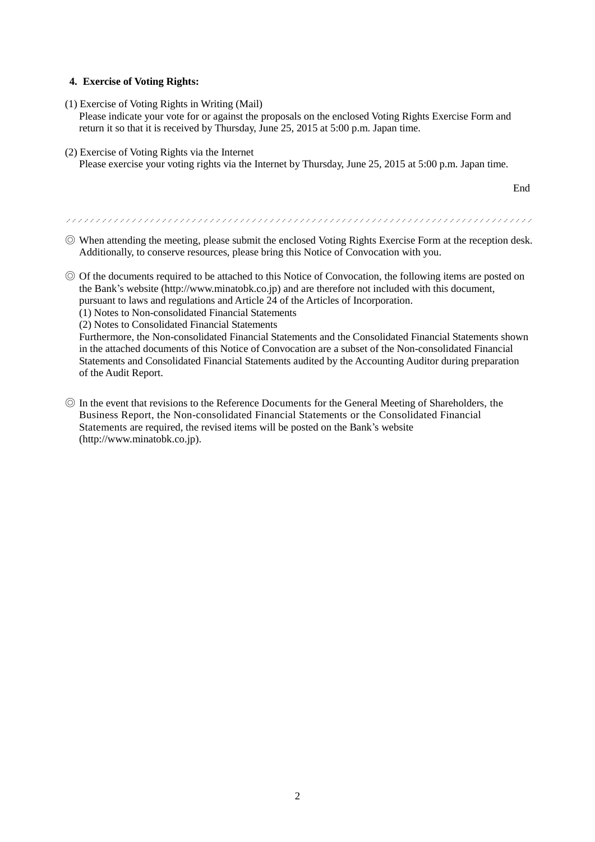#### **4. Exercise of Voting Rights:**

(1) Exercise of Voting Rights in Writing (Mail)

Please indicate your vote for or against the proposals on the enclosed Voting Rights Exercise Form and return it so that it is received by Thursday, June 25, 2015 at 5:00 p.m. Japan time.

(2) Exercise of Voting Rights via the Internet Please exercise your voting rights via the Internet by Thursday, June 25, 2015 at 5:00 p.m. Japan time.

End

◎ When attending the meeting, please submit the enclosed Voting Rights Exercise Form at the reception desk. Additionally, to conserve resources, please bring this Notice of Convocation with you.

- ◎ Of the documents required to be attached to this Notice of Convocation, the following items are posted on the Bank's website (http://www.minatobk.co.jp) and are therefore not included with this document, pursuant to laws and regulations and Article 24 of the Articles of Incorporation.
	- (1) Notes to Non-consolidated Financial Statements
	-
	- (2) Notes to Consolidated Financial Statements

Furthermore, the Non-consolidated Financial Statements and the Consolidated Financial Statements shown in the attached documents of this Notice of Convocation are a subset of the Non-consolidated Financial Statements and Consolidated Financial Statements audited by the Accounting Auditor during preparation of the Audit Report.

◎ In the event that revisions to the Reference Documents for the General Meeting of Shareholders, the Business Report, the Non-consolidated Financial Statements or the Consolidated Financial Statements are required, the revised items will be posted on the Bank's website (http://www.minatobk.co.jp).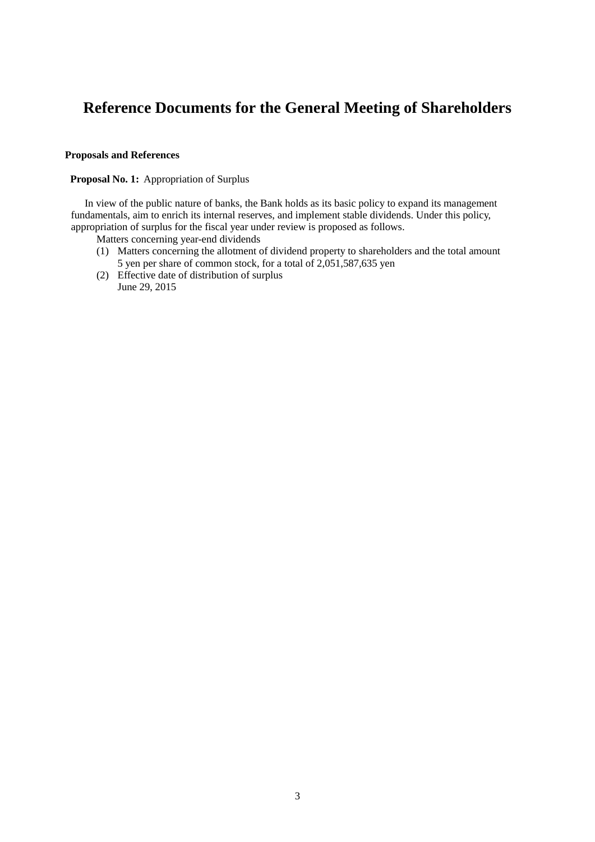# **Reference Documents for the General Meeting of Shareholders**

#### **Proposals and References**

#### **Proposal No. 1:** Appropriation of Surplus

In view of the public nature of banks, the Bank holds as its basic policy to expand its management fundamentals, aim to enrich its internal reserves, and implement stable dividends. Under this policy, appropriation of surplus for the fiscal year under review is proposed as follows.

- Matters concerning year-end dividends
- (1) Matters concerning the allotment of dividend property to shareholders and the total amount 5 yen per share of common stock, for a total of 2,051,587,635 yen
- (2) Effective date of distribution of surplus June 29, 2015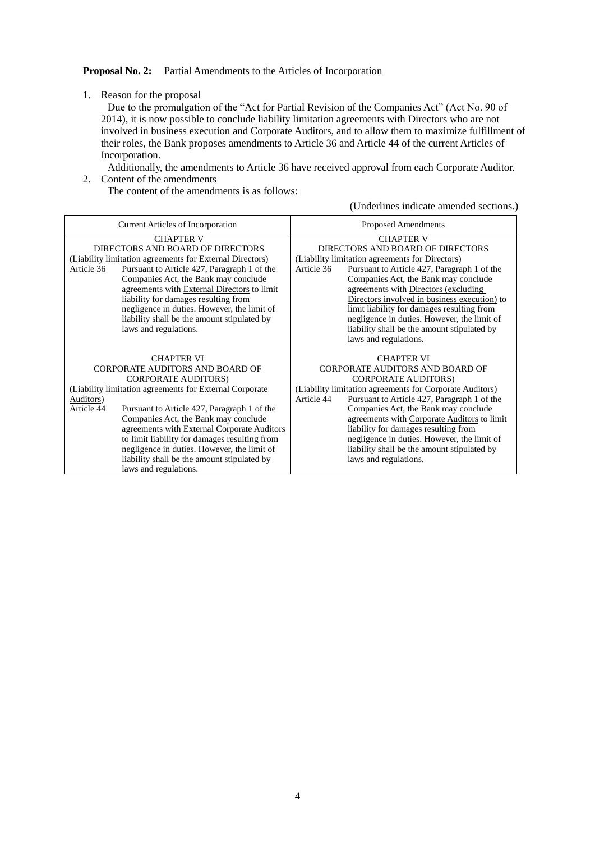#### **Proposal No. 2:** Partial Amendments to the Articles of Incorporation

1. Reason for the proposal

Due to the promulgation of the "Act for Partial Revision of the Companies Act" (Act No. 90 of 2014), it is now possible to conclude liability limitation agreements with Directors who are not involved in business execution and Corporate Auditors, and to allow them to maximize fulfillment of their roles, the Bank proposes amendments to Article 36 and Article 44 of the current Articles of Incorporation.

Additionally, the amendments to Article 36 have received approval from each Corporate Auditor.

2. Content of the amendments

The content of the amendments is as follows:

(Underlines indicate amended sections.)

| <b>Current Articles of Incorporation</b>                                                                                                                                                                                                                                                                                                                                                                                                                                               | <b>Proposed Amendments</b>                                                                                                                                                                                                                                                                                                                                                                                                                                                |  |  |
|----------------------------------------------------------------------------------------------------------------------------------------------------------------------------------------------------------------------------------------------------------------------------------------------------------------------------------------------------------------------------------------------------------------------------------------------------------------------------------------|---------------------------------------------------------------------------------------------------------------------------------------------------------------------------------------------------------------------------------------------------------------------------------------------------------------------------------------------------------------------------------------------------------------------------------------------------------------------------|--|--|
| <b>CHAPTER V</b><br>DIRECTORS AND BOARD OF DIRECTORS<br>(Liability limitation agreements for External Directors)<br>Pursuant to Article 427, Paragraph 1 of the<br>Article 36<br>Companies Act, the Bank may conclude<br>agreements with External Directors to limit<br>liability for damages resulting from<br>negligence in duties. However, the limit of<br>liability shall be the amount stipulated by<br>laws and regulations.                                                    | <b>CHAPTER V</b><br>DIRECTORS AND BOARD OF DIRECTORS<br>(Liability limitation agreements for Directors)<br>Pursuant to Article 427, Paragraph 1 of the<br>Article 36<br>Companies Act, the Bank may conclude<br>agreements with Directors (excluding<br>Directors involved in business execution) to<br>limit liability for damages resulting from<br>negligence in duties. However, the limit of<br>liability shall be the amount stipulated by<br>laws and regulations. |  |  |
| <b>CHAPTER VI</b><br>CORPORATE AUDITORS AND BOARD OF<br><b>CORPORATE AUDITORS)</b><br>(Liability limitation agreements for External Corporate<br>Auditors)<br>Article 44<br>Pursuant to Article 427, Paragraph 1 of the<br>Companies Act, the Bank may conclude<br>agreements with External Corporate Auditors<br>to limit liability for damages resulting from<br>negligence in duties. However, the limit of<br>liability shall be the amount stipulated by<br>laws and regulations. | <b>CHAPTER VI</b><br>CORPORATE AUDITORS AND BOARD OF<br><b>CORPORATE AUDITORS)</b><br>(Liability limitation agreements for Corporate Auditors)<br>Pursuant to Article 427, Paragraph 1 of the<br>Article 44<br>Companies Act, the Bank may conclude<br>agreements with Corporate Auditors to limit<br>liability for damages resulting from<br>negligence in duties. However, the limit of<br>liability shall be the amount stipulated by<br>laws and regulations.         |  |  |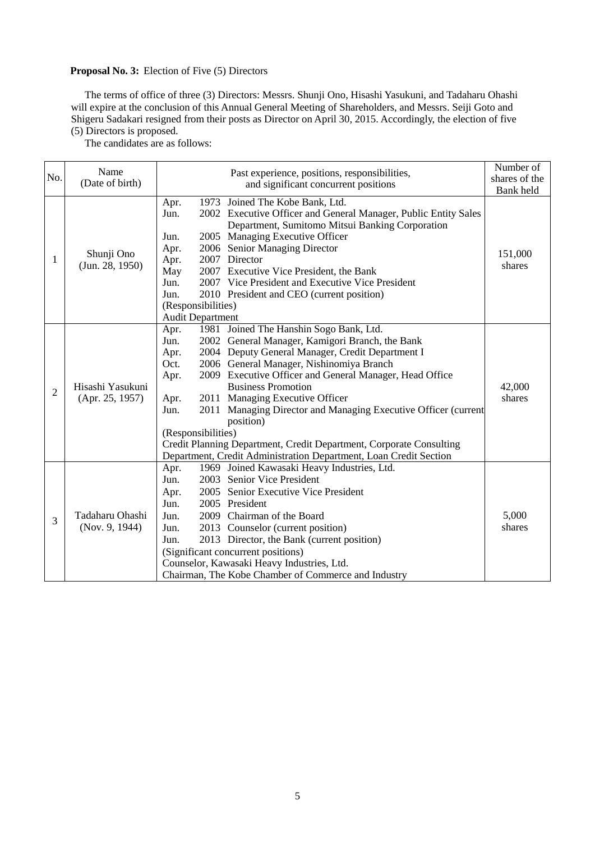### **Proposal No. 3:** Election of Five (5) Directors

The terms of office of three (3) Directors: Messrs. Shunji Ono, Hisashi Yasukuni, and Tadaharu Ohashi will expire at the conclusion of this Annual General Meeting of Shareholders, and Messrs. Seiji Goto and Shigeru Sadakari resigned from their posts as Director on April 30, 2015. Accordingly, the election of five (5) Directors is proposed.

The candidates are as follows:

|                | Name<br>(Date of birth)             | Past experience, positions, responsibilities, |                                                                                                                                                       | Number of     |
|----------------|-------------------------------------|-----------------------------------------------|-------------------------------------------------------------------------------------------------------------------------------------------------------|---------------|
| No.            |                                     |                                               |                                                                                                                                                       | shares of the |
|                |                                     |                                               | and significant concurrent positions                                                                                                                  |               |
|                | Shunji Ono<br>(Jun. 28, 1950)       | Apr.<br>Jun.                                  | 1973 Joined The Kobe Bank, Ltd.<br>2002 Executive Officer and General Manager, Public Entity Sales<br>Department, Sumitomo Mitsui Banking Corporation |               |
|                |                                     | Jun.                                          | 2005 Managing Executive Officer                                                                                                                       |               |
|                |                                     | Apr.                                          | 2006 Senior Managing Director                                                                                                                         | 151,000       |
| 1              |                                     | Apr.                                          | 2007 Director                                                                                                                                         | shares        |
|                |                                     | May                                           | 2007 Executive Vice President, the Bank                                                                                                               |               |
|                |                                     | Jun.                                          | 2007 Vice President and Executive Vice President                                                                                                      |               |
|                |                                     | Jun.                                          | 2010 President and CEO (current position)                                                                                                             |               |
|                |                                     | (Responsibilities)                            |                                                                                                                                                       |               |
|                |                                     | <b>Audit Department</b>                       |                                                                                                                                                       |               |
|                | Hisashi Yasukuni<br>(Apr. 25, 1957) | Apr.                                          | 1981 Joined The Hanshin Sogo Bank, Ltd.                                                                                                               |               |
|                |                                     | Jun.                                          | 2002 General Manager, Kamigori Branch, the Bank                                                                                                       |               |
|                |                                     | Apr.                                          | 2004 Deputy General Manager, Credit Department I                                                                                                      |               |
|                |                                     | Oct.                                          | 2006 General Manager, Nishinomiya Branch                                                                                                              |               |
|                |                                     | Apr.                                          | 2009 Executive Officer and General Manager, Head Office                                                                                               |               |
| $\overline{2}$ |                                     |                                               | <b>Business Promotion</b>                                                                                                                             | 42,000        |
|                |                                     | Apr.                                          | 2011 Managing Executive Officer                                                                                                                       | shares        |
|                |                                     | Jun.                                          | 2011 Managing Director and Managing Executive Officer (current                                                                                        |               |
|                |                                     |                                               | position)                                                                                                                                             |               |
|                |                                     | (Responsibilities)                            |                                                                                                                                                       |               |
|                |                                     |                                               | Credit Planning Department, Credit Department, Corporate Consulting                                                                                   |               |
|                |                                     |                                               | Department, Credit Administration Department, Loan Credit Section                                                                                     |               |
|                | Tadaharu Ohashi<br>(Nov. 9, 1944)   | Apr.                                          | 1969 Joined Kawasaki Heavy Industries, Ltd.                                                                                                           |               |
|                |                                     | Jun.                                          | 2003 Senior Vice President                                                                                                                            |               |
|                |                                     | Apr.                                          | 2005 Senior Executive Vice President                                                                                                                  |               |
|                |                                     | Jun.                                          | 2005 President                                                                                                                                        |               |
| 3              |                                     | Jun.                                          | 2009 Chairman of the Board                                                                                                                            | 5,000         |
|                |                                     | Jun.                                          | 2013 Counselor (current position)                                                                                                                     | shares        |
|                |                                     | Jun.                                          | 2013 Director, the Bank (current position)                                                                                                            |               |
|                |                                     |                                               | (Significant concurrent positions)                                                                                                                    |               |
|                |                                     |                                               | Counselor, Kawasaki Heavy Industries, Ltd.                                                                                                            |               |
|                |                                     |                                               | Chairman, The Kobe Chamber of Commerce and Industry                                                                                                   |               |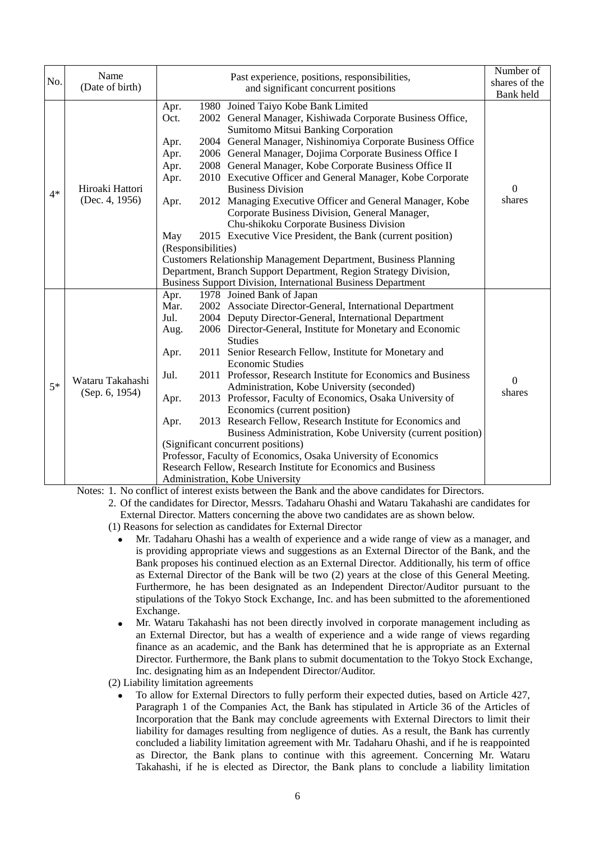|      | Name                               |                                                                                                   |  |                                                                     | Number of        |
|------|------------------------------------|---------------------------------------------------------------------------------------------------|--|---------------------------------------------------------------------|------------------|
| No.  | (Date of birth)                    |                                                                                                   |  | Past experience, positions, responsibilities,                       | shares of the    |
|      |                                    |                                                                                                   |  | and significant concurrent positions                                | Bank held        |
|      |                                    | Apr.                                                                                              |  | 1980 Joined Taiyo Kobe Bank Limited                                 |                  |
|      |                                    | Oct.                                                                                              |  | 2002 General Manager, Kishiwada Corporate Business Office,          |                  |
|      |                                    |                                                                                                   |  | Sumitomo Mitsui Banking Corporation                                 | $\boldsymbol{0}$ |
|      |                                    | Apr.                                                                                              |  | 2004 General Manager, Nishinomiya Corporate Business Office         |                  |
|      |                                    | Apr.                                                                                              |  | 2006 General Manager, Dojima Corporate Business Office I            |                  |
|      |                                    | Apr.                                                                                              |  | 2008 General Manager, Kobe Corporate Business Office II             |                  |
|      |                                    | Apr.                                                                                              |  | 2010 Executive Officer and General Manager, Kobe Corporate          |                  |
| $4*$ | Hiroaki Hattori                    |                                                                                                   |  | <b>Business Division</b>                                            |                  |
|      | (Dec. 4, 1956)                     | Apr.                                                                                              |  | 2012 Managing Executive Officer and General Manager, Kobe           | shares           |
|      |                                    |                                                                                                   |  | Corporate Business Division, General Manager,                       |                  |
|      |                                    |                                                                                                   |  | Chu-shikoku Corporate Business Division                             |                  |
|      |                                    | May                                                                                               |  | 2015 Executive Vice President, the Bank (current position)          |                  |
|      |                                    | (Responsibilities)                                                                                |  |                                                                     |                  |
|      |                                    | Customers Relationship Management Department, Business Planning                                   |  |                                                                     |                  |
|      |                                    |                                                                                                   |  | Department, Branch Support Department, Region Strategy Division,    |                  |
|      |                                    |                                                                                                   |  | <b>Business Support Division, International Business Department</b> |                  |
|      | Wataru Takahashi<br>(Sep. 6, 1954) | Apr.                                                                                              |  | 1978 Joined Bank of Japan                                           |                  |
|      |                                    | Mar.                                                                                              |  | 2002 Associate Director-General, International Department           |                  |
|      |                                    | Jul.                                                                                              |  | 2004 Deputy Director-General, International Department              |                  |
|      |                                    | Aug.                                                                                              |  | 2006 Director-General, Institute for Monetary and Economic          |                  |
|      |                                    |                                                                                                   |  | <b>Studies</b>                                                      |                  |
|      |                                    | Apr.                                                                                              |  | 2011 Senior Research Fellow, Institute for Monetary and             |                  |
|      |                                    |                                                                                                   |  | <b>Economic Studies</b>                                             |                  |
|      |                                    | Jul.                                                                                              |  | 2011 Professor, Research Institute for Economics and Business       | $\overline{0}$   |
| $5*$ |                                    |                                                                                                   |  | Administration, Kobe University (seconded)                          | shares           |
|      |                                    | Apr.                                                                                              |  | 2013 Professor, Faculty of Economics, Osaka University of           |                  |
|      |                                    |                                                                                                   |  | Economics (current position)                                        |                  |
|      |                                    | Apr.                                                                                              |  | 2013 Research Fellow, Research Institute for Economics and          |                  |
|      |                                    | Business Administration, Kobe University (current position)                                       |  |                                                                     |                  |
|      |                                    | (Significant concurrent positions)                                                                |  |                                                                     |                  |
|      |                                    | Professor, Faculty of Economics, Osaka University of Economics                                    |  |                                                                     |                  |
|      |                                    |                                                                                                   |  |                                                                     |                  |
|      |                                    | Research Fellow, Research Institute for Economics and Business<br>Administration, Kobe University |  |                                                                     |                  |

Notes: 1. No conflict of interest exists between the Bank and the above candidates for Directors.

2. Of the candidates for Director, Messrs. Tadaharu Ohashi and Wataru Takahashi are candidates for External Director. Matters concerning the above two candidates are as shown below.

(1) Reasons for selection as candidates for External Director

- Mr. Tadaharu Ohashi has a wealth of experience and a wide range of view as a manager, and is providing appropriate views and suggestions as an External Director of the Bank, and the Bank proposes his continued election as an External Director. Additionally, his term of office as External Director of the Bank will be two (2) years at the close of this General Meeting. Furthermore, he has been designated as an Independent Director/Auditor pursuant to the stipulations of the Tokyo Stock Exchange, Inc. and has been submitted to the aforementioned Exchange.
- Mr. Wataru Takahashi has not been directly involved in corporate management including as an External Director, but has a wealth of experience and a wide range of views regarding finance as an academic, and the Bank has determined that he is appropriate as an External Director. Furthermore, the Bank plans to submit documentation to the Tokyo Stock Exchange, Inc. designating him as an Independent Director/Auditor.

(2) Liability limitation agreements

 To allow for External Directors to fully perform their expected duties, based on Article 427, Paragraph 1 of the Companies Act, the Bank has stipulated in Article 36 of the Articles of Incorporation that the Bank may conclude agreements with External Directors to limit their liability for damages resulting from negligence of duties. As a result, the Bank has currently concluded a liability limitation agreement with Mr. Tadaharu Ohashi, and if he is reappointed as Director, the Bank plans to continue with this agreement. Concerning Mr. Wataru Takahashi, if he is elected as Director, the Bank plans to conclude a liability limitation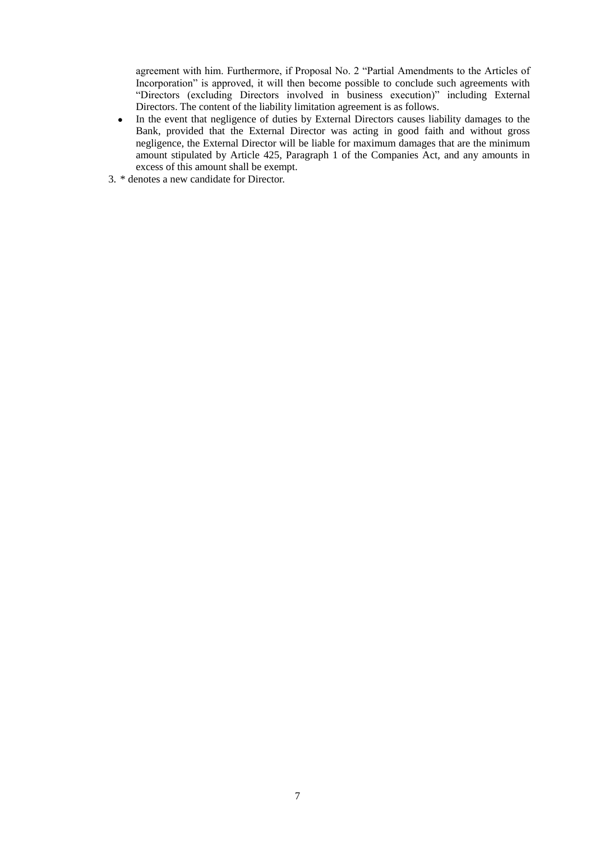agreement with him. Furthermore, if Proposal No. 2 "Partial Amendments to the Articles of Incorporation" is approved, it will then become possible to conclude such agreements with "Directors (excluding Directors involved in business execution)" including External Directors. The content of the liability limitation agreement is as follows.

- In the event that negligence of duties by External Directors causes liability damages to the Bank, provided that the External Director was acting in good faith and without gross negligence, the External Director will be liable for maximum damages that are the minimum amount stipulated by Article 425, Paragraph 1 of the Companies Act, and any amounts in excess of this amount shall be exempt.
- 3. \* denotes a new candidate for Director.